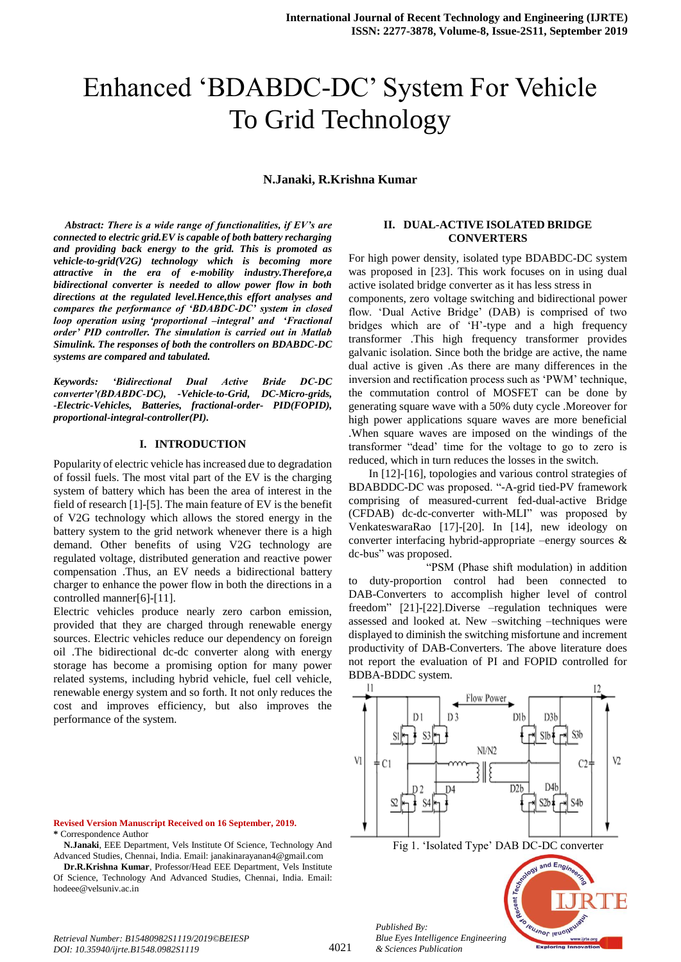# Enhanced ‗BDABDC-DC' System For Vehicle To Grid Technology

## **N.Janaki, R.Krishna Kumar**

*Abstract: There is a wide range of functionalities, if EV's are connected to electric grid.EV is capable of both battery recharging and providing back energy to the grid. This is promoted as vehicle-to-grid(V2G) technology which is becoming more attractive in the era of e-mobility industry.Therefore,a bidirectional converter is needed to allow power flow in both directions at the regulated level.Hence,this effort analyses and compares the performance of 'BDABDC-DC' system in closed loop operation using 'proportional –integral' and 'Fractional order' PID controller. The simulation is carried out in Matlab Simulink. The responses of both the controllers on BDABDC-DC systems are compared and tabulated.*

*Keywords: 'Bidirectional Dual Active Bride DC-DC converter'(BDABDC-DC), -Vehicle-to-Grid, DC-Micro-grids, -Electric-Vehicles, Batteries, fractional-order- PID(FOPID), proportional-integral-controller(PI).*

# **I. INTRODUCTION**

Popularity of electric vehicle has increased due to degradation of fossil fuels. The most vital part of the EV is the charging system of battery which has been the area of interest in the field of research [1]-[5]. The main feature of EV is the benefit of V2G technology which allows the stored energy in the battery system to the grid network whenever there is a high demand. Other benefits of using V2G technology are regulated voltage, distributed generation and reactive power compensation .Thus, an EV needs a bidirectional battery charger to enhance the power flow in both the directions in a controlled manner[6]-[11].

Electric vehicles produce nearly zero carbon emission, provided that they are charged through renewable energy sources. Electric vehicles reduce our dependency on foreign oil .The bidirectional dc-dc converter along with energy storage has become a promising option for many power related systems, including hybrid vehicle, fuel cell vehicle, renewable energy system and so forth. It not only reduces the cost and improves efficiency, but also improves the performance of the system.

**N.Janaki**, EEE Department, Vels Institute Of Science, Technology And Advanced Studies, Chennai, India. Email: janakinarayanan4@gmail.com

**Dr.R.Krishna Kumar**, Professor/Head EEE Department, Vels Institute Of Science, Technology And Advanced Studies, Chennai, India. Email: hodeee@velsuniv.ac.in

### **II. DUAL-ACTIVE ISOLATED BRIDGE CONVERTERS**

For high power density, isolated type BDABDC-DC system was proposed in [23]. This work focuses on in using dual active isolated bridge converter as it has less stress in components, zero voltage switching and bidirectional power flow. 'Dual Active Bridge' (DAB) is comprised of two bridges which are of 'H'-type and a high frequency transformer .This high frequency transformer provides galvanic isolation. Since both the bridge are active, the name dual active is given .As there are many differences in the inversion and rectification process such as 'PWM' technique, the commutation control of MOSFET can be done by generating square wave with a 50% duty cycle .Moreover for high power applications square waves are more beneficial .When square waves are imposed on the windings of the transformer "dead' time for the voltage to go to zero is reduced, which in turn reduces the losses in the switch.

 In [12]-[16], topologies and various control strategies of BDABDDC-DC was proposed. "-A-grid tied-PV framework comprising of measured-current fed-dual-active Bridge (CFDAB) dc-dc-converter with-MLI" was proposed by VenkateswaraRao [17]-[20]. In [14], new ideology on converter interfacing hybrid-appropriate –energy sources & dc-bus" was proposed.

 ―PSM (Phase shift modulation) in addition to duty-proportion control had been connected to DAB-Converters to accomplish higher level of control freedom" [21]-[22].Diverse -regulation techniques were assessed and looked at. New –switching –techniques were displayed to diminish the switching misfortune and increment productivity of DAB-Converters. The above literature does not report the evaluation of PI and FOPID controlled for BDBA-BDDC system.



*Retrieval Number: B15480982S1119/2019©BEIESP DOI: 10.35940/ijrte.B1548.0982S1119*

*& Sciences Publication* 

**Revised Version Manuscript Received on 16 September, 2019. \*** Correspondence Author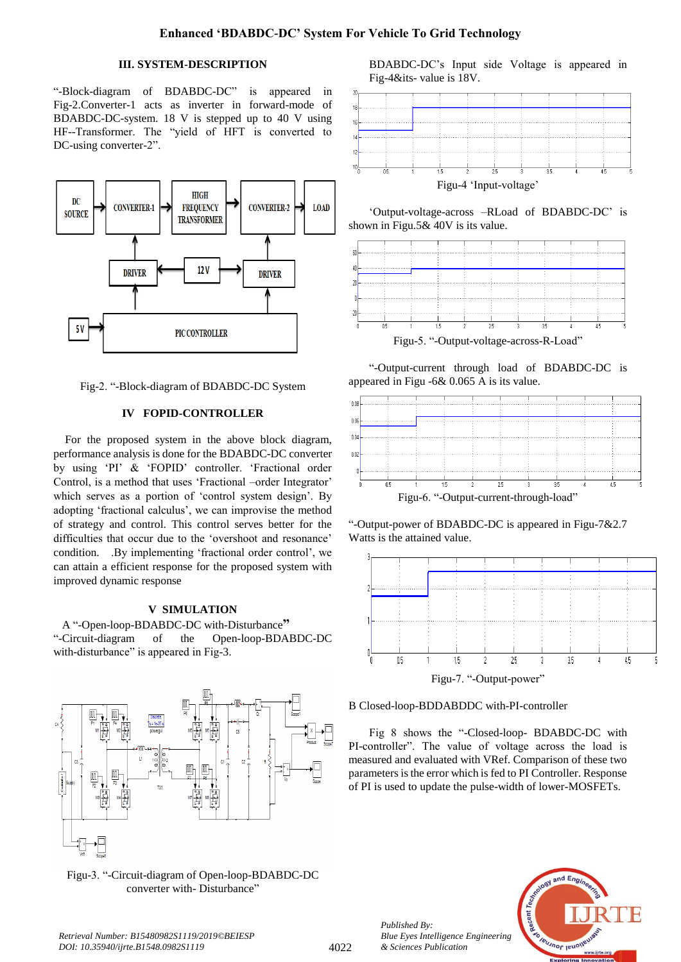# **III. SYSTEM-DESCRIPTION**

"-Block-diagram of BDABDC-DC" is appeared in Fig-2.Converter-1 acts as inverter in forward-mode of BDABDC-DC-system. 18 V is stepped up to 40 V using HF--Transformer. The "yield of HFT is converted to DC-using converter-2".



Fig-2. "-Block-diagram of BDABDC-DC System

## **IV FOPID-CONTROLLER**

For the proposed system in the above block diagram, performance analysis is done for the BDABDC-DC converter by using 'PI' & 'FOPID' controller. 'Fractional order Control, is a method that uses 'Fractional –order Integrator' which serves as a portion of 'control system design'. By adopting 'fractional calculus', we can improvise the method of strategy and control. This control serves better for the difficulties that occur due to the 'overshoot and resonance' condition. .By implementing 'fractional order control', we can attain a efficient response for the proposed system with improved dynamic response

# **V SIMULATION**

A "-Open-loop-BDABDC-DC with-Disturbance" ―-Circuit-diagram of the Open-loop-BDABDC-DC with-disturbance" is appeared in Fig-3.



Figu-3. "-Circuit-diagram of Open-loop-BDABDC-DC converter with-Disturbance"

BDABDC-DC's Input side Voltage is appeared in Fig-4&its- value is 18V.



‗Output-voltage-across –RLoad of BDABDC-DC' is shown in Figu.5& 40V is its value.



―-Output-current through load of BDABDC-DC is appeared in Figu -6& 0.065 A is its value.



"-Output-power of BDABDC-DC is appeared in Figu-7&2.7 Watts is the attained value.



B Closed-loop-BDDABDDC with-PI-controller

Fig 8 shows the "-Closed-loop- BDABDC-DC with PI-controller". The value of voltage across the load is measured and evaluated with VRef. Comparison of these two parameters is the error which is fed to PI Controller. Response of PI is used to update the pulse-width of lower-MOSFETs.





*Retrieval Number: B15480982S1119/2019©BEIESP DOI: 10.35940/ijrte.B1548.0982S1119*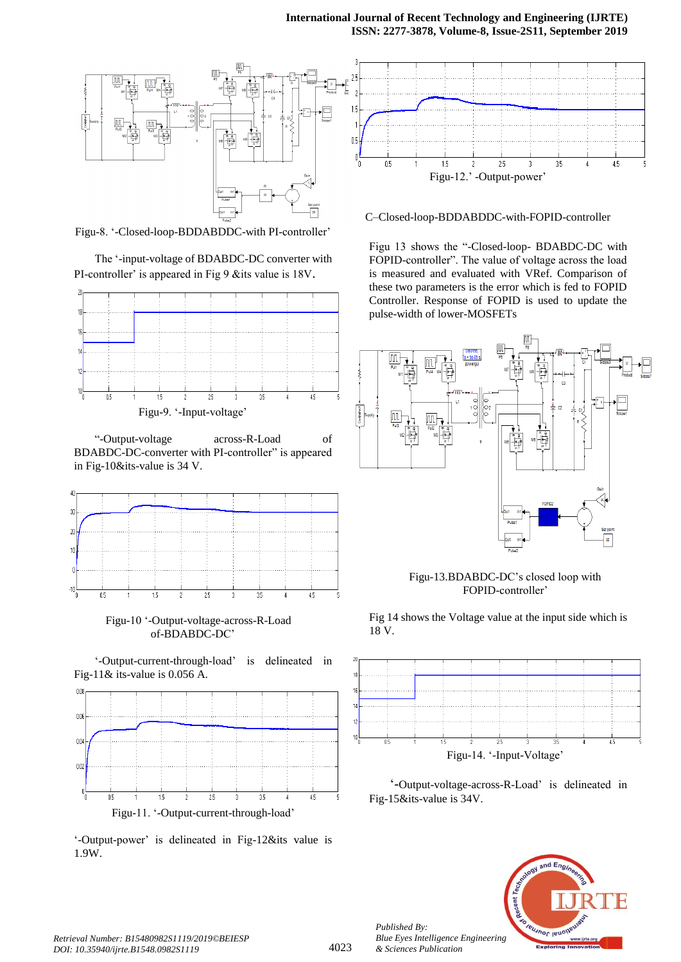# **International Journal of Recent Technology and Engineering (IJRTE) ISSN: 2277-3878, Volume-8, Issue-2S11, September 2019**



Figu-8. ‗-Closed-loop-BDDABDDC-with PI-controller'

The '-input-voltage of BDABDC-DC converter with PI-controller' is appeared in Fig 9 &its value is 18V.



Figu-9. ‗-Input-voltage'

―-Output-voltage across-R-Load of BDABDC-DC-converter with PI-controller" is appeared in Fig-10&its-value is 34 V.



 Figu-10 ‗-Output-voltage-across-R-Load of-BDABDC-DC'

‗-Output-current-through-load' is delineated in Fig-11& its-value is 0.056 A.



‗-Output-power' is delineated in Fig-12&its value is 1.9W.

C–Closed-loop-BDDABDDC-with-FOPID-controller

Figu 13 shows the "-Closed-loop- BDABDC-DC with FOPID-controller". The value of voltage across the load is measured and evaluated with VRef. Comparison of these two parameters is the error which is fed to FOPID Controller. Response of FOPID is used to update the pulse-width of lower-MOSFETs



Figu-13.BDABDC-DC's closed loop with FOPID-controller'

Fig 14 shows the Voltage value at the input side which is 18 V.



‗-Output-voltage-across-R-Load' is delineated in Fig-15&its-value is 34V.



*Published By:*

*& Sciences Publication*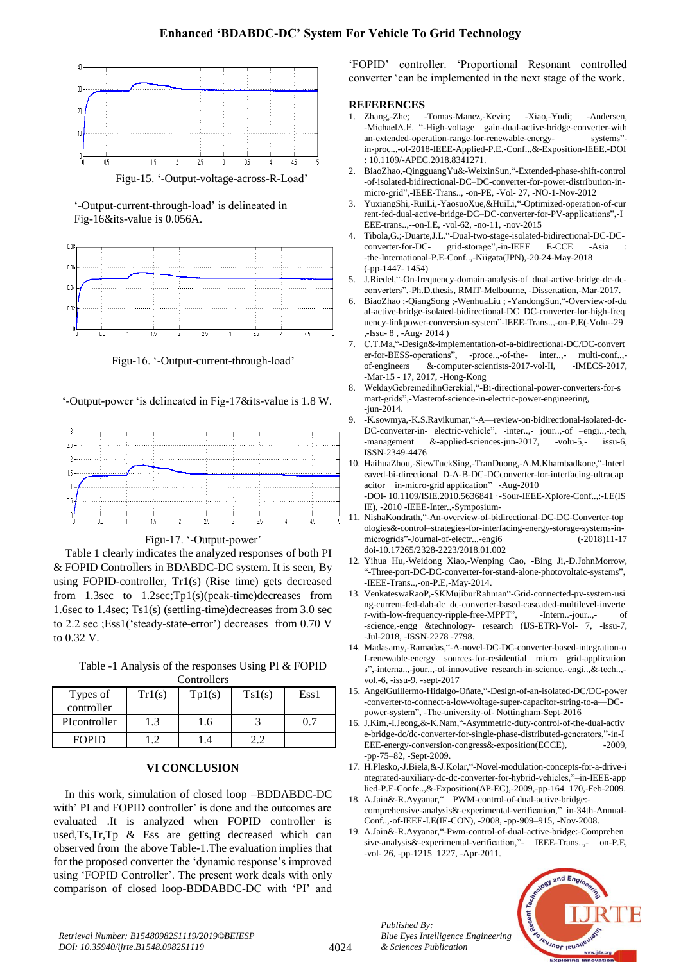

Figu-15. ‗-Output-voltage-across-R-Load'

‗-Output-current-through-load' is delineated in Fig-16&its-value is 0.056A.



Figu-16. ‗-Output-current-through-load'

‗-Output-power ‗is delineated in Fig-17&its-value is 1.8 W.





Table 1 clearly indicates the analyzed responses of both PI & FOPID Controllers in BDABDC-DC system. It is seen, By using FOPID-controller, Tr1(s) (Rise time) gets decreased from 1.3sec to 1.2sec;Tp1(s)(peak-time)decreases from 1.6sec to 1.4sec; Ts1(s) (settling-time)decreases from 3.0 sec to 2.2 sec ;Ess1(‗steady-state-error') decreases from 0.70 V to 0.32 V.

Table -1 Analysis of the responses Using PI & FOPID **Controllers** 

| <b>COMMOND</b> |        |        |        |      |
|----------------|--------|--------|--------|------|
| Types of       | Tr1(s) | Tp1(s) | Ts1(s) | Ess1 |
| controller     |        |        |        |      |
| PIcontroller   | 1.3    | $.6\,$ |        | 0.7  |
| <b>FOPID</b>   |        |        |        |      |

### **VI CONCLUSION**

In this work, simulation of closed loop –BDDABDC-DC with' PI and FOPID controller' is done and the outcomes are evaluated .It is analyzed when FOPID controller is used,Ts,Tr,Tp & Ess are getting decreased which can observed from the above Table-1.The evaluation implies that for the proposed converter the 'dynamic response's improved using ‗FOPID Controller'. The present work deals with only comparison of closed loop-BDDABDC-DC with 'PI' and

‗FOPID' controller. ‗Proportional Resonant controlled converter 'can be implemented in the next stage of the work.

# **REFERENCES**

- 1. Zhang,-Zhe; -Tomas-Manez,-Kevin; -Xiao,-Yudi; -Andersen, -MichaelA.E. "-High-voltage –gain-dual-active-bridge-converter-with an-extended-operation-range-for-renewable-energy-systems"an-extended-operation-range-for-renewable-energyin-proc..,-of-2018-IEEE-Applied-P.E.-Conf..,&-Exposition-IEEE.-DOI : 10.1109/-APEC.2018.8341271.
- 2. BiaoZhao,-QingguangYu&-WeixinSun,"-Extended-phase-shift-control -of-isolated-bidirectional-DC–DC-converter-for-power-distribution-inmicro-grid‖,-IEEE-Trans.., -on-PE, -Vol- 27, -NO-1-Nov-2012
- 3. YuxiangShi,-RuiLi,-YaosuoXue,&HuiLi,"-Optimized-operation-of-cur rent-fed-dual-active-bridge-DC–DC-converter-for-PV-applications",-I EEE-trans..,--on-I.E, -vol-62, -no-11, -nov-2015
- 4. Tibola, G.;-Duarte, J.L. "-Dual-two-stage-isolated-bidirectional-DC-DCconverter-for-DC- grid-storage",-in-IEEE E-CCE -Asia -the-International-P.E-Conf..,-Niigata(JPN),-20-24-May-2018 (-pp-1447- 1454)
- 5. J.Riedel,"-On-frequency-domain-analysis-of-dual-active-bridge-dc-dcconverters‖.-Ph.D.thesis, RMIT-Melbourne, -Dissertation,-Mar-2017.
- 6. [BiaoZhao](https://ieeexplore.ieee.org/search/searchresult.jsp?searchWithin=%22First%20Name%22:%22Biao%22&searchWithin=%22Last%20Name%22:%22Zhao%22&newsearch=true&sortType=newest) ;[-QiangSong](https://ieeexplore.ieee.org/search/searchresult.jsp?searchWithin=%22First%20Name%22:%22Qiang%22&searchWithin=%22Last%20Name%22:%22Song%22&newsearch=true&sortType=newest) ;[-WenhuaLiu](https://ieeexplore.ieee.org/search/searchresult.jsp?searchWithin=%22First%20Name%22:%22Wenhua%22&searchWithin=%22Last%20Name%22:%22Liu%22&newsearch=true&sortType=newest) ; [-YandongSun,](https://ieeexplore.ieee.org/search/searchresult.jsp?searchWithin=%22First%20Name%22:%22Yandong%22&searchWithin=%22Last%20Name%22:%22Sun%22&newsearch=true&sortType=newest) "-Overview-of-du al-active-bridge-isolated-bidirectional-DC–DC-converter-for-high-freq uency-linkpower-conversion-system"[-IEEE-Trans..,-on-P.E\(](https://ieeexplore.ieee.org/xpl/RecentIssue.jsp?punumber=63)-Volu--29 ,[-Issu-](https://ieeexplore.ieee.org/xpl/tocresult.jsp?isnumber=6778795) 8 , -Aug- 2014 )
- 7. C.T.Ma,―-Design&-implementation-of-a-bidirectional-DC/DC-convert er-for-BESS-operations", -proce..,-of-the- inter..,- multi-conf..,of-engineers &-computer-scientists-2017-vol-II, -IMECS-2017, -Mar-15 - 17, 2017, -Hong-Kong
- WeldayGebremedihnGerekial,"-Bi-directional-power-converters-for-s mart-grids‖,-Masterof-science-in-electric-power-engineering, -jun-2014.
- 9. -K.sowmya,-K.S.Ravikumar, "-A—review-on-bidirectional-isolated-dc-DC-converter-in- electric-vehicle", -inter..,- jour..,-of -engi..,-tech, -management &-applied-sciences-jun-2017, -volu-5,- issu-6, ISSN-2349-4476
- 10. [HaihuaZhou,](https://www.researchgate.net/scientific-contributions/29918045_Haihua_Zhou)[-SiewTuckSing,](https://www.researchgate.net/scientific-contributions/75085400_Siew_Tuck_Sing)[-TranDuong,](https://www.researchgate.net/scientific-contributions/74490684_Tran_Duong)-A.M.Khambadkone,"-Interl eaved-bi-directional–D-A-B-DC-DCconverter-for-interfacing-ultracap acitor in-micro-grid application" -Aug-2010 -DOI- [10.1109/ISIE.2010.5636841](http://dx.doi.org/10.1109/ISIE.2010.5636841) ·-Sou[r-IEEE-Xplore-](https://www.researchgate.net/deref/http%3A%2F%2Fieeexplore.ieee.org%2Fxpl%2Ffreeabs_all.jsp%3Farnumber%3D5636841)Conf..,:-I.E(IS IE), -2010 -IEEE-Inter.,-Symposium-
- 11. NishaKondrath, "-An-overview-of-bidirectional-DC-DC-Converter-top ologies&-control–strategies-for-interfacing-energy-storage-systems-inmicrogrids‖-Journal-of-electr..,-engi6 (-2018)11-17 doi-10.17265/2328-2223/2018.01.002
- 12. Yihua Hu,-Weidong Xiao,-Wenping Cao, -Bing Ji,-D.JohnMorrow, "-Three-port-DC-DC-converter-for-stand-alone-photovoltaic-systems", -IEEE-Trans..,-on-P.E,-May-2014.
- 13. VenkateswaRaoP,-SKMujiburRahman"-Grid-connected-pv-system-usi ng-current-fed-dab-dc–dc-converter-based-cascaded-multilevel-inverte r-with-low-frequency-ripple-free-MPPT", -Intern..-jour..,- of -science,-engg &technology- research (IJS-ETR)-Vol- 7, -Issu-7, -Jul-2018, -ISSN-2278 -7798.
- 14. Madasamy,-Ramadas, "-A-novel-DC-DC-converter-based-integration-o f-renewable-energy—sources-for-residential—micro—grid-application s",-interna..,-jour..,-of-innovative–research-in-science,-engi..,&-tech..,vol.-6, -issu-9, -sept-2017
- 15. AngelGuillermo-Hidalgo-Oñate, "-Design-of-an-isolated-DC/DC-power -converter-to-connect-a-low-voltage-super-capacitor-string-to-a—DCpower-system", -The-university-of- Nottingham-Sept-2016
- 16. J.Kim,-I.Jeong, &-K.Nam, "-Asymmetric-duty-control-of-the-dual-activ e-bridge-dc/dc-converter-for-single-phase-distributed-generators,"-in-I EEE-energy-conversion-congress&-exposition(ECCE), -2009, -pp-75–82, -Sept-2009.
- 17. H.Plesko,-J.Biela,&-J.Kolar,"-Novel-modulation-concepts-for-a-drive-i ntegrated-auxiliary-dc-dc-converter-for-hybrid-vehicles,"-in-IEEE-app lied-P.E-Confe..,&-Exposition(AP-EC),-2009,-pp-164–170,-Feb-2009.
- 18. A.Jain&-R.Ayyanar, "---PWM-control-of-dual-active-bridge:comprehensive-analysis&-experimental-verification,"-in-34th-Annual-Conf..,-of-IEEE-I.E(IE-CON), -2008, -pp-909–915, -Nov-2008.
- 19. A.Jain&-R.Ayyanar, "-Pwm-control-of-dual-active-bridge:-Comprehen sive-analysis&-experimental-verification,"- IEEE-Trans..,- on-P.E, -vol- 26, -pp-1215–1227, -Apr-2011.



*Retrieval Number: B15480982S1119/2019©BEIESP DOI: 10.35940/ijrte.B1548.0982S1119*

*Published By:*

*& Sciences Publication* 

*Blue Eyes Intelligence Engineering*